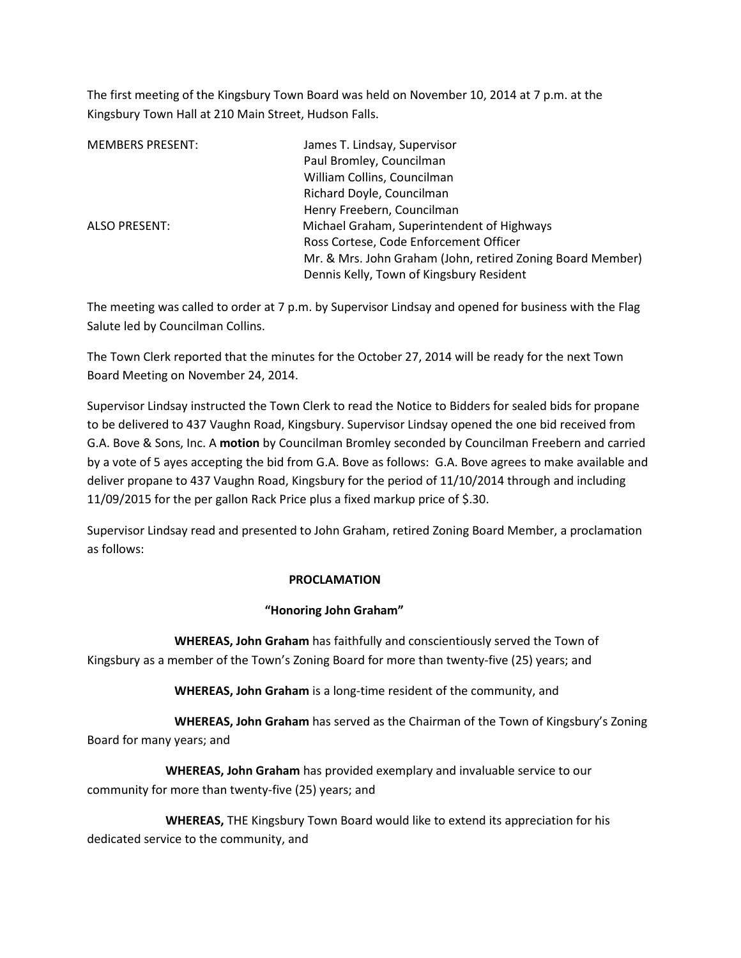The first meeting of the Kingsbury Town Board was held on November 10, 2014 at 7 p.m. at the Kingsbury Town Hall at 210 Main Street, Hudson Falls.

| <b>MEMBERS PRESENT:</b> | James T. Lindsay, Supervisor                               |
|-------------------------|------------------------------------------------------------|
|                         | Paul Bromley, Councilman                                   |
|                         | William Collins, Councilman                                |
|                         | Richard Doyle, Councilman                                  |
|                         | Henry Freebern, Councilman                                 |
| ALSO PRESENT:           | Michael Graham, Superintendent of Highways                 |
|                         | Ross Cortese, Code Enforcement Officer                     |
|                         | Mr. & Mrs. John Graham (John, retired Zoning Board Member) |
|                         | Dennis Kelly, Town of Kingsbury Resident                   |

The meeting was called to order at 7 p.m. by Supervisor Lindsay and opened for business with the Flag Salute led by Councilman Collins.

The Town Clerk reported that the minutes for the October 27, 2014 will be ready for the next Town Board Meeting on November 24, 2014.

Supervisor Lindsay instructed the Town Clerk to read the Notice to Bidders for sealed bids for propane to be delivered to 437 Vaughn Road, Kingsbury. Supervisor Lindsay opened the one bid received from G.A. Bove & Sons, Inc. A **motion** by Councilman Bromley seconded by Councilman Freebern and carried by a vote of 5 ayes accepting the bid from G.A. Bove as follows: G.A. Bove agrees to make available and deliver propane to 437 Vaughn Road, Kingsbury for the period of 11/10/2014 through and including 11/09/2015 for the per gallon Rack Price plus a fixed markup price of \$.30.

Supervisor Lindsay read and presented to John Graham, retired Zoning Board Member, a proclamation as follows:

## **PROCLAMATION**

## **"Honoring John Graham"**

 **WHEREAS, John Graham** has faithfully and conscientiously served the Town of Kingsbury as a member of the Town's Zoning Board for more than twenty-five (25) years; and

**WHEREAS, John Graham** is a long-time resident of the community, and

 **WHEREAS, John Graham** has served as the Chairman of the Town of Kingsbury's Zoning Board for many years; and

 **WHEREAS, John Graham** has provided exemplary and invaluable service to our community for more than twenty-five (25) years; and

 **WHEREAS,** THE Kingsbury Town Board would like to extend its appreciation for his dedicated service to the community, and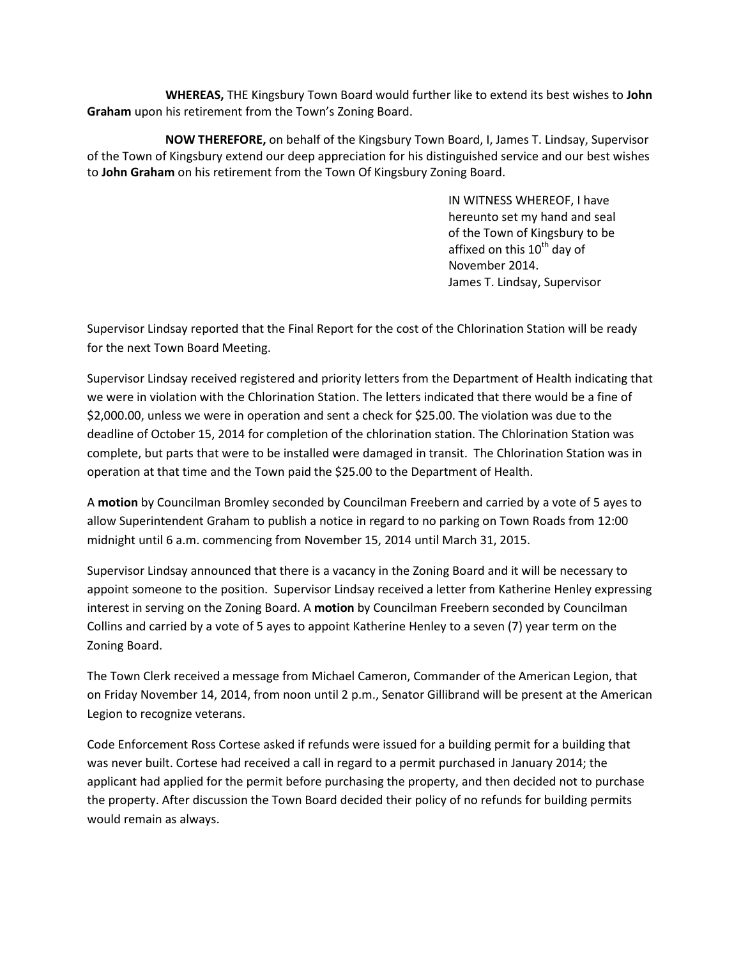**WHEREAS,** THE Kingsbury Town Board would further like to extend its best wishes to **John Graham** upon his retirement from the Town's Zoning Board.

 **NOW THEREFORE,** on behalf of the Kingsbury Town Board, I, James T. Lindsay, Supervisor of the Town of Kingsbury extend our deep appreciation for his distinguished service and our best wishes to **John Graham** on his retirement from the Town Of Kingsbury Zoning Board.

> IN WITNESS WHEREOF, I have hereunto set my hand and seal of the Town of Kingsbury to be affixed on this  $10<sup>th</sup>$  day of November 2014. James T. Lindsay, Supervisor

Supervisor Lindsay reported that the Final Report for the cost of the Chlorination Station will be ready for the next Town Board Meeting.

Supervisor Lindsay received registered and priority letters from the Department of Health indicating that we were in violation with the Chlorination Station. The letters indicated that there would be a fine of \$2,000.00, unless we were in operation and sent a check for \$25.00. The violation was due to the deadline of October 15, 2014 for completion of the chlorination station. The Chlorination Station was complete, but parts that were to be installed were damaged in transit. The Chlorination Station was in operation at that time and the Town paid the \$25.00 to the Department of Health.

A **motion** by Councilman Bromley seconded by Councilman Freebern and carried by a vote of 5 ayes to allow Superintendent Graham to publish a notice in regard to no parking on Town Roads from 12:00 midnight until 6 a.m. commencing from November 15, 2014 until March 31, 2015.

Supervisor Lindsay announced that there is a vacancy in the Zoning Board and it will be necessary to appoint someone to the position. Supervisor Lindsay received a letter from Katherine Henley expressing interest in serving on the Zoning Board. A **motion** by Councilman Freebern seconded by Councilman Collins and carried by a vote of 5 ayes to appoint Katherine Henley to a seven (7) year term on the Zoning Board.

The Town Clerk received a message from Michael Cameron, Commander of the American Legion, that on Friday November 14, 2014, from noon until 2 p.m., Senator Gillibrand will be present at the American Legion to recognize veterans.

Code Enforcement Ross Cortese asked if refunds were issued for a building permit for a building that was never built. Cortese had received a call in regard to a permit purchased in January 2014; the applicant had applied for the permit before purchasing the property, and then decided not to purchase the property. After discussion the Town Board decided their policy of no refunds for building permits would remain as always.